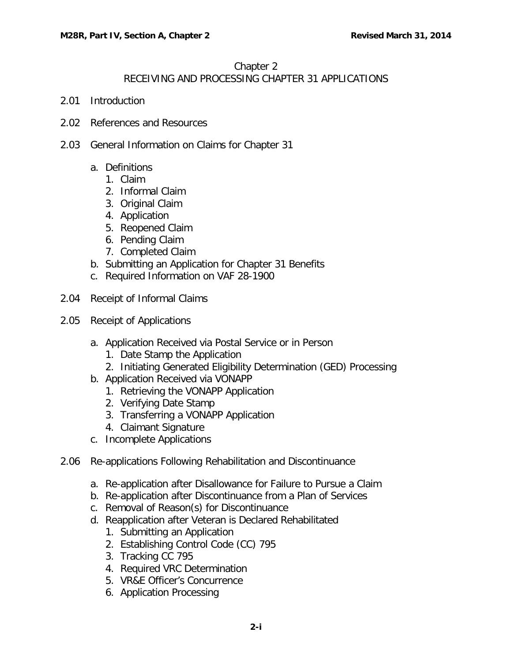### Chapter 2

# RECEIVING AND PROCESSING CHAPTER 31 APPLICATIONS

- 2.01 [Introduction](#page-3-0)
- 2.02 [References and Resources](#page-3-1)
- 2.03 [General Information on Claims for Chapter 31](#page-3-2)
	- a. [Definitions](#page-3-3)
		- 1. [Claim](#page-3-4)
		- 2. [Informal Claim](#page-4-0)
		- 3. [Original Claim](#page-4-1)
		- 4. [Application](#page-4-2)
		- 5. [Reopened Claim](#page-4-3)
		- 6. [Pending Claim](#page-4-4)
		- 7. [Completed Claim](#page-4-5)
	- b. [Submitting an Application for Chapter 31 Benefits](#page-4-6)
	- c. [Required Information on VAF 28-1900](#page-5-0)
- 2.04 [Receipt of Informal Claims](#page-5-1)
- 2.05 [Receipt of Applications](#page-6-0)
	- a. [Application Received via Postal Service or in Person](#page-6-1)
		- 1. [Date Stamp the Application](#page-6-2)
		- 2. [Initiating Generated Eligibility Determination \(GED\) Processing](#page-7-0)
	- b. [Application Received via VONAPP](#page-7-1)
		- 1. [Retrieving the VONAPP Application](#page-7-2)
		- 2. [Verifying Date Stamp](#page-7-3)
		- 3. [Transferring a VONAPP Application](#page-7-4)
		- 4. [Claimant Signature](#page-8-0)
	- c. [Incomplete Applications](#page-8-1)
- 2.06 [Re-applications Following Rehabilitation and Discontinuance](#page-8-2)
	- a. [Re-application after Disallowance for Failure to Pursue a Claim](#page-8-3)
	- b. [Re-application after Discontinuance from a Plan of Services](#page-8-4)
	- c. [Removal of Reason\(s\) for Discontinuance](#page-9-0)
	- d. [Reapplication after Veteran is Declared Rehabilitated](#page-10-0)
		- 1. [Submitting an Application](#page-10-1)
		- 2. [Establishing Control Code \(CC\) 795](#page-10-2)
		- 3. [Tracking CC 795](#page-10-3)
		- 4. [Required VRC Determination](#page-11-0)
		- 5. [VR&E Officer's Concurrence](#page-11-1)
		- 6. [Application Processing](#page-11-2)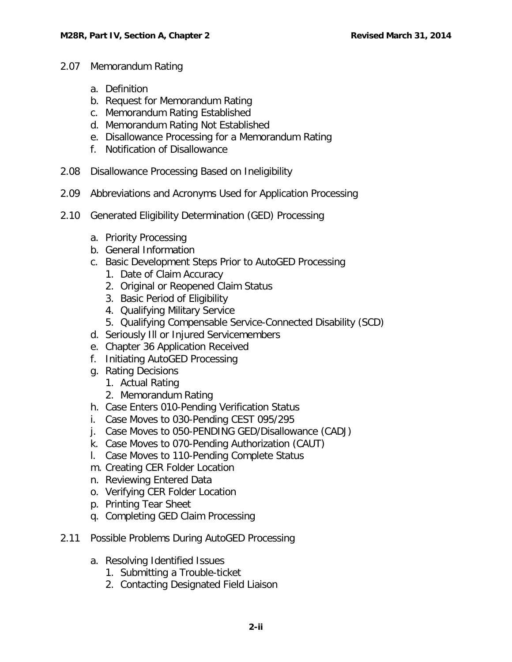- 2.07 [Memorandum Rating](#page-12-0)
	- a. [Definition](#page-12-1)
	- b. [Request for Memorandum Rating](#page-12-2)
	- c. [Memorandum Rating Established](#page-12-3)
	- d. [Memorandum Rating Not Established](#page-13-0)
	- e. [Disallowance Processing for a Memorandum Rating](#page-13-1)
	- f. [Notification of Disallowance](#page-13-2)
- 2.08 [Disallowance Processing Based on Ineligibility](#page-13-3)
- 2.09 [Abbreviations and Acronyms Used for Application Processing](#page-14-0)
- 2.10 [Generated Eligibility Determination \(GED\) Processing](#page-15-0)
	- a. [Priority Processing](#page-15-1)
	- b. [General Information](#page-15-2)
	- c. [Basic Development Steps Prior to AutoGED Processing](#page-16-0)
		- 1. [Date of Claim Accuracy](#page-16-1)
		- 2. [Original or Reopened Claim Status](#page-16-2)
		- 3. [Basic Period of Eligibility](#page-17-0)
		- 4. [Qualifying Military Service](#page-17-1)
		- 5. [Qualifying Compensable Service-Connected Disability \(SCD\)](#page-18-0)
	- d. [Seriously Ill or Injured Servicemembers](#page-19-0)
	- e. [Chapter 36 Application Received](#page-19-1)
	- f. [Initiating AutoGED Processing](#page-20-0)
	- g. [Rating Decisions](#page-22-0)
		- 1. [Actual Rating](#page-22-1)
		- 2. [Memorandum Rating](#page-22-2)
	- h. [Case Enters 010-Pending Verification Status](#page-23-0)
	- i. [Case Moves to 030-Pending CEST 095/295](#page-23-1)
	- j. [Case Moves to 050-PENDING GED/Disallowance \(CADJ\)](#page-23-2)
	- k. [Case Moves to 070-Pending Authorization \(CAUT\)](#page-23-3)
	- l. [Case Moves to 110-Pending Complete Status](#page-24-0)
	- m. [Creating CER Folder Location](#page-24-1)
	- n. [Reviewing Entered Data](#page-25-0)
	- o. [Verifying CER Folder Location](#page-25-1)
	- p. [Printing Tear Sheet](#page-25-2)
	- q. [Completing GED Claim Processing](#page-25-3)
- 2.11 [Possible Problems During AutoGED Processing](#page-25-4)
	- a. [Resolving Identified Issues](#page-25-5)
		- 1. [Submitting a Trouble-ticket](#page-25-6)
		- 2. [Contacting Designated Field Liaison](#page-25-7)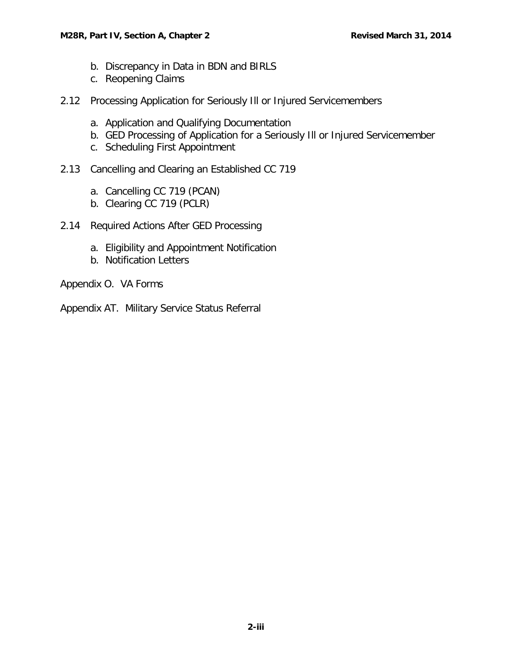#### **M28R, Part IV, Section A, Chapter 2 Revised March 31, 2014 Revised March 31, 2014**

- b. [Discrepancy in Data in BDN and BIRLS](#page-26-0)
- c. [Reopening Claims](#page-26-1)
- 2.12 [Processing Application for Seriously Ill or Injured Servicemembers](#page-26-2)
	- a. [Application and Qualifying Documentation](#page-27-0)
	- b. [GED Processing of Application for a Seriously Ill or Injured Servicemember](#page-27-1)
	- c. [Scheduling First Appointment](#page-28-0)
- 2.13 [Cancelling and Clearing an Established CC 719](#page-28-1)
	- a. [Cancelling CC 719 \(PCAN\)](#page-28-2)
	- b. [Clearing CC 719 \(PCLR\)](#page-29-0)
- 2.14 [Required Actions After GED Processing](#page-29-1)
	- a. [Eligibility and Appointment Notification](#page-29-2)
	- b. [Notification Letters](#page-29-3)

Appendix O. VA Forms

Appendix AT. Military Service Status Referral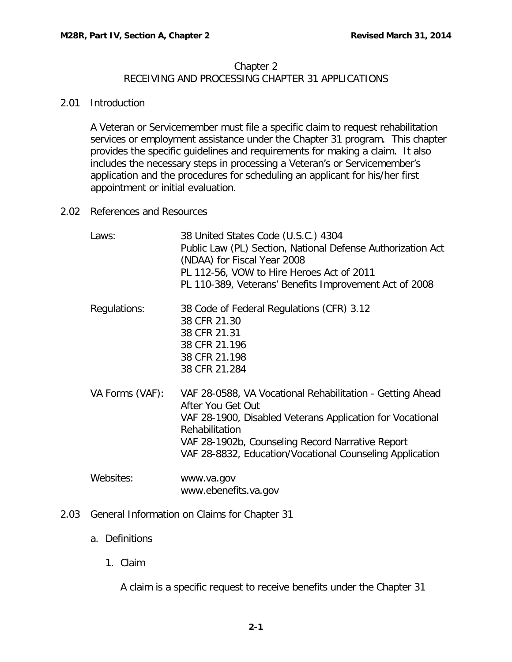### Chapter 2

# RECEIVING AND PROCESSING CHAPTER 31 APPLICATIONS

### <span id="page-3-0"></span>2.01 Introduction

A Veteran or Servicemember must file a specific claim to request rehabilitation services or employment assistance under the Chapter 31 program. This chapter provides the specific guidelines and requirements for making a claim. It also includes the necessary steps in processing a Veteran's or Servicemember's application and the procedures for scheduling an applicant for his/her first appointment or initial evaluation.

### <span id="page-3-1"></span>2.02 References and Resources

| Laws:           | 38 United States Code (U.S.C.) 4304<br>Public Law (PL) Section, National Defense Authorization Act<br>(NDAA) for Fiscal Year 2008<br>PL 112-56, VOW to Hire Heroes Act of 2011<br>PL 110-389, Veterans' Benefits Improvement Act of 2008                                      |
|-----------------|-------------------------------------------------------------------------------------------------------------------------------------------------------------------------------------------------------------------------------------------------------------------------------|
| Regulations:    | 38 Code of Federal Regulations (CFR) 3.12<br>38 CFR 21.30<br>38 CFR 21.31<br>38 CFR 21.196<br>38 CFR 21.198<br>38 CFR 21.284                                                                                                                                                  |
| VA Forms (VAF): | VAF 28-0588, VA Vocational Rehabilitation - Getting Ahead<br>After You Get Out<br>VAF 28-1900, Disabled Veterans Application for Vocational<br>Rehabilitation<br>VAF 28-1902b, Counseling Record Narrative Report<br>VAF 28-8832, Education/Vocational Counseling Application |
| Websites:       | www.va.gov<br>www.ebenefits.va.gov                                                                                                                                                                                                                                            |

<span id="page-3-3"></span><span id="page-3-2"></span>2.03 General Information on Claims for Chapter 31

# <span id="page-3-4"></span>a. Definitions

1. Claim

A claim is a specific request to receive benefits under the Chapter 31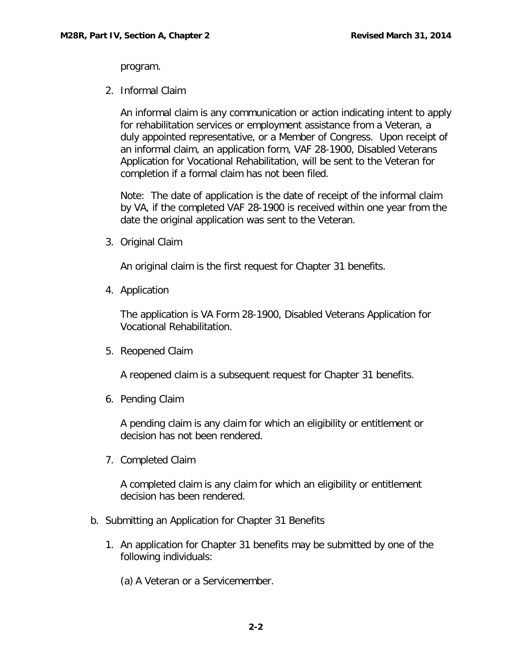program.

<span id="page-4-0"></span>2. Informal Claim

An informal claim is any communication or action indicating intent to apply for rehabilitation services or employment assistance from a Veteran, a duly appointed representative, or a Member of Congress. Upon receipt of an informal claim, an application form, VAF 28-1900, Disabled Veterans Application for Vocational Rehabilitation, will be sent to the Veteran for completion if a formal claim has not been filed.

Note: The date of application is the date of receipt of the informal claim by VA, if the completed VAF 28-1900 is received within one year from the date the original application was sent to the Veteran.

<span id="page-4-1"></span>3. Original Claim

An original claim is the first request for Chapter 31 benefits.

<span id="page-4-2"></span>4. Application

The application is VA Form 28-1900, Disabled Veterans Application for Vocational Rehabilitation.

<span id="page-4-3"></span>5. Reopened Claim

A reopened claim is a subsequent request for Chapter 31 benefits.

<span id="page-4-4"></span>6. Pending Claim

A pending claim is any claim for which an eligibility or entitlement or decision has not been rendered.

<span id="page-4-5"></span>7. Completed Claim

A completed claim is any claim for which an eligibility or entitlement decision has been rendered.

- <span id="page-4-6"></span>b. Submitting an Application for Chapter 31 Benefits
	- 1. An application for Chapter 31 benefits may be submitted by one of the following individuals:

(a) A Veteran or a Servicemember.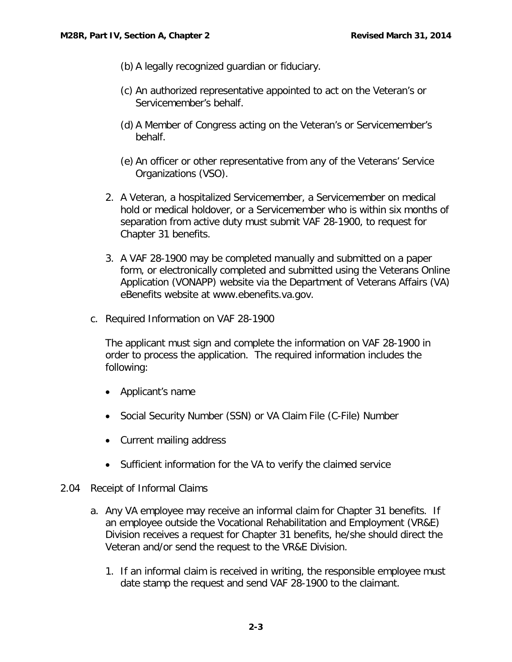- (b) A legally recognized guardian or fiduciary.
- (c) An authorized representative appointed to act on the Veteran's or Servicemember's behalf.
- (d) A Member of Congress acting on the Veteran's or Servicemember's behalf.
- (e) An officer or other representative from any of the Veterans' Service Organizations (VSO).
- 2. A Veteran, a hospitalized Servicemember, a Servicemember on medical hold or medical holdover, or a Servicemember who is within six months of separation from active duty must submit VAF 28-1900, to request for Chapter 31 benefits.
- 3. A VAF 28-1900 may be completed manually and submitted on a paper form, or electronically completed and submitted using the Veterans Online Application (VONAPP) website via the Department of Veterans Affairs (VA) eBenefits website at www.ebenefits.va.gov.
- <span id="page-5-0"></span>c. Required Information on VAF 28-1900

The applicant must sign and complete the information on VAF 28-1900 in order to process the application. The required information includes the following:

- Applicant's name
- Social Security Number (SSN) or VA Claim File (C-File) Number
- Current mailing address
- Sufficient information for the VA to verify the claimed service
- <span id="page-5-1"></span>2.04 Receipt of Informal Claims
	- a. Any VA employee may receive an informal claim for Chapter 31 benefits. If an employee outside the Vocational Rehabilitation and Employment (VR&E) Division receives a request for Chapter 31 benefits, he/she should direct the Veteran and/or send the request to the VR&E Division.
		- 1. If an informal claim is received in writing, the responsible employee must date stamp the request and send VAF 28-1900 to the claimant.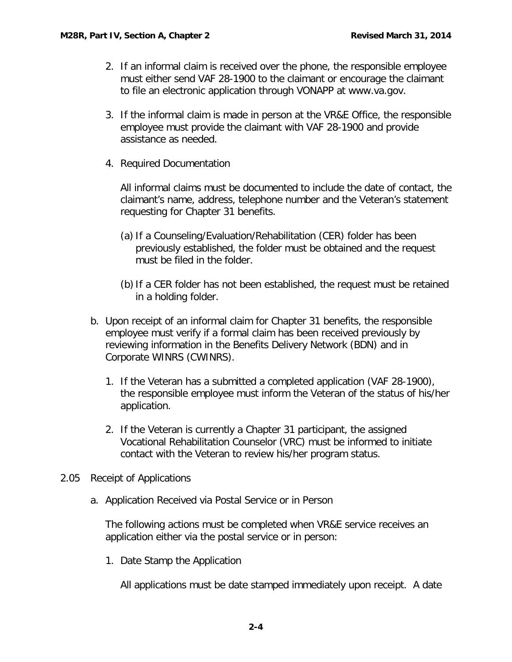- 2. If an informal claim is received over the phone, the responsible employee must either send VAF 28-1900 to the claimant or encourage the claimant to file an electronic application through VONAPP at www.va.gov.
- 3. If the informal claim is made in person at the VR&E Office, the responsible employee must provide the claimant with VAF 28-1900 and provide assistance as needed.
- 4. Required Documentation

All informal claims must be documented to include the date of contact, the claimant's name, address, telephone number and the Veteran's statement requesting for Chapter 31 benefits.

- (a) If a Counseling/Evaluation/Rehabilitation (CER) folder has been previously established, the folder must be obtained and the request must be filed in the folder.
- (b)If a CER folder has not been established, the request must be retained in a holding folder.
- b. Upon receipt of an informal claim for Chapter 31 benefits, the responsible employee must verify if a formal claim has been received previously by reviewing information in the Benefits Delivery Network (BDN) and in Corporate WINRS (CWINRS).
	- 1. If the Veteran has a submitted a completed application (VAF 28-1900), the responsible employee must inform the Veteran of the status of his/her application.
	- 2. If the Veteran is currently a Chapter 31 participant, the assigned Vocational Rehabilitation Counselor (VRC) must be informed to initiate contact with the Veteran to review his/her program status.
- <span id="page-6-1"></span><span id="page-6-0"></span>2.05 Receipt of Applications
	- a. Application Received via Postal Service or in Person

The following actions must be completed when VR&E service receives an application either via the postal service or in person:

<span id="page-6-2"></span>1. Date Stamp the Application

All applications must be date stamped immediately upon receipt. A date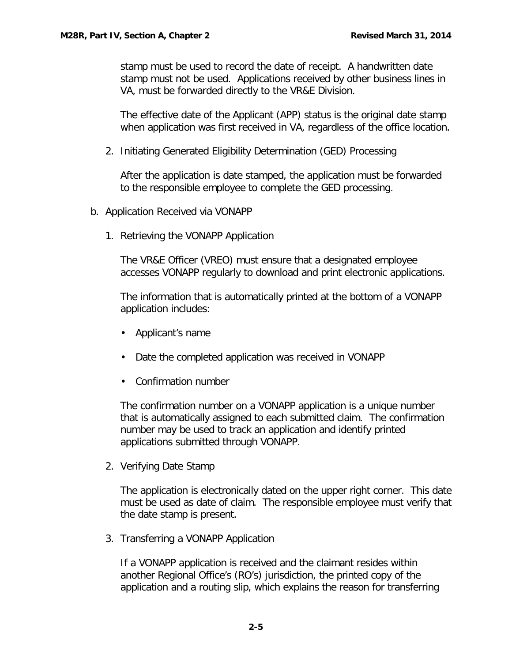stamp must be used to record the date of receipt. A handwritten date stamp must not be used. Applications received by other business lines in VA, must be forwarded directly to the VR&E Division.

The effective date of the Applicant (APP) status is the original date stamp when application was first received in VA, regardless of the office location.

<span id="page-7-0"></span>2. Initiating Generated Eligibility Determination (GED) Processing

After the application is date stamped, the application must be forwarded to the responsible employee to complete the GED processing.

- <span id="page-7-2"></span><span id="page-7-1"></span>b. Application Received via VONAPP
	- 1. Retrieving the VONAPP Application

The VR&E Officer (VREO) must ensure that a designated employee accesses VONAPP regularly to download and print electronic applications.

The information that is automatically printed at the bottom of a VONAPP application includes:

- Applicant's name
- Date the completed application was received in VONAPP
- Confirmation number

The confirmation number on a VONAPP application is a unique number that is automatically assigned to each submitted claim. The confirmation number may be used to track an application and identify printed applications submitted through VONAPP.

<span id="page-7-3"></span>2. Verifying Date Stamp

The application is electronically dated on the upper right corner. This date must be used as date of claim. The responsible employee must verify that the date stamp is present.

<span id="page-7-4"></span>3. Transferring a VONAPP Application

If a VONAPP application is received and the claimant resides within another Regional Office's (RO's) jurisdiction, the printed copy of the application and a routing slip, which explains the reason for transferring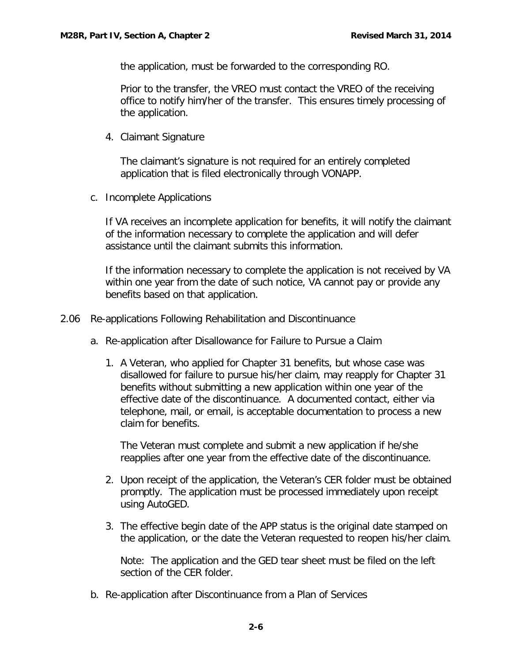the application, must be forwarded to the corresponding RO.

Prior to the transfer, the VREO must contact the VREO of the receiving office to notify him/her of the transfer. This ensures timely processing of the application.

<span id="page-8-0"></span>4. Claimant Signature

The claimant's signature is not required for an entirely completed application that is filed electronically through VONAPP.

<span id="page-8-1"></span>c. Incomplete Applications

If VA receives an incomplete application for benefits, it will notify the claimant of the information necessary to complete the application and will defer assistance until the claimant submits this information.

If the information necessary to complete the application is not received by VA within one year from the date of such notice, VA cannot pay or provide any benefits based on that application.

- <span id="page-8-3"></span><span id="page-8-2"></span>2.06 Re-applications Following Rehabilitation and Discontinuance
	- a. Re-application after Disallowance for Failure to Pursue a Claim
		- 1. A Veteran, who applied for Chapter 31 benefits, but whose case was disallowed for failure to pursue his/her claim, may reapply for Chapter 31 benefits without submitting a new application within one year of the effective date of the discontinuance. A documented contact, either via telephone, mail, or email, is acceptable documentation to process a new claim for benefits.

The Veteran must complete and submit a new application if he/she reapplies after one year from the effective date of the discontinuance.

- 2. Upon receipt of the application, the Veteran's CER folder must be obtained promptly. The application must be processed immediately upon receipt using AutoGED.
- 3. The effective begin date of the APP status is the original date stamped on the application, or the date the Veteran requested to reopen his/her claim.

Note: The application and the GED tear sheet must be filed on the left section of the CER folder.

<span id="page-8-4"></span>b. Re-application after Discontinuance from a Plan of Services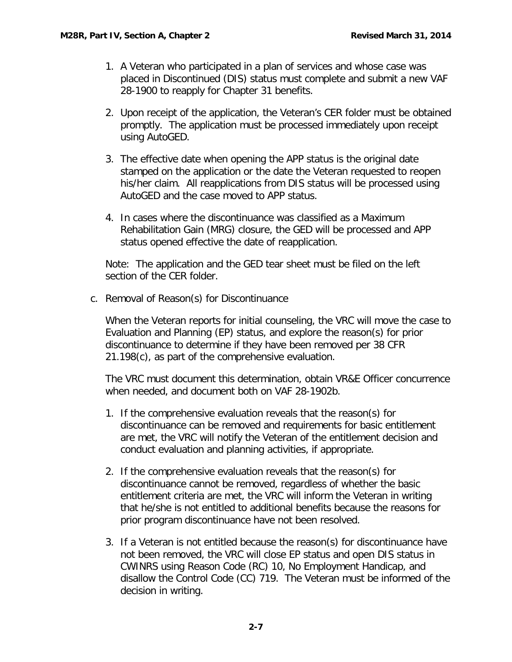- 1. A Veteran who participated in a plan of services and whose case was placed in Discontinued (DIS) status must complete and submit a new VAF 28-1900 to reapply for Chapter 31 benefits.
- 2. Upon receipt of the application, the Veteran's CER folder must be obtained promptly. The application must be processed immediately upon receipt using AutoGED.
- 3. The effective date when opening the APP status is the original date stamped on the application or the date the Veteran requested to reopen his/her claim. All reapplications from DIS status will be processed using AutoGED and the case moved to APP status.
- 4. In cases where the discontinuance was classified as a Maximum Rehabilitation Gain (MRG) closure, the GED will be processed and APP status opened effective the date of reapplication.

Note: The application and the GED tear sheet must be filed on the left section of the CER folder.

<span id="page-9-0"></span>c. Removal of Reason(s) for Discontinuance

When the Veteran reports for initial counseling, the VRC will move the case to Evaluation and Planning (EP) status, and explore the reason(s) for prior discontinuance to determine if they have been removed per 38 CFR 21.198(c), as part of the comprehensive evaluation.

The VRC must document this determination, obtain VR&E Officer concurrence when needed, and document both on VAF 28-1902b.

- 1. If the comprehensive evaluation reveals that the reason(s) for discontinuance can be removed and requirements for basic entitlement are met, the VRC will notify the Veteran of the entitlement decision and conduct evaluation and planning activities, if appropriate.
- 2. If the comprehensive evaluation reveals that the reason(s) for discontinuance cannot be removed, regardless of whether the basic entitlement criteria are met, the VRC will inform the Veteran in writing that he/she is not entitled to additional benefits because the reasons for prior program discontinuance have not been resolved.
- 3. If a Veteran is not entitled because the reason(s) for discontinuance have not been removed, the VRC will close EP status and open DIS status in CWINRS using Reason Code (RC) 10, No Employment Handicap, and disallow the Control Code (CC) 719. The Veteran must be informed of the decision in writing.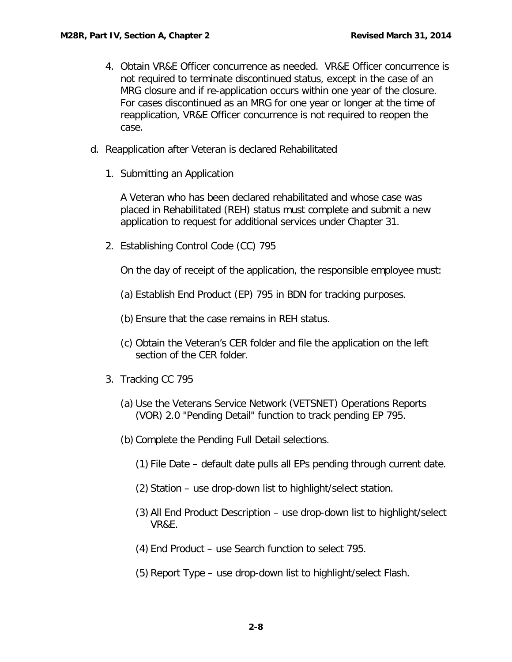- 4. Obtain VR&E Officer concurrence as needed. VR&E Officer concurrence is not required to terminate discontinued status, except in the case of an MRG closure and if re-application occurs within one year of the closure. For cases discontinued as an MRG for one year or longer at the time of reapplication, VR&E Officer concurrence is not required to reopen the case.
- <span id="page-10-1"></span><span id="page-10-0"></span>d. Reapplication after Veteran is declared Rehabilitated
	- 1. Submitting an Application

A Veteran who has been declared rehabilitated and whose case was placed in Rehabilitated (REH) status must complete and submit a new application to request for additional services under Chapter 31.

<span id="page-10-2"></span>2. Establishing Control Code (CC) 795

On the day of receipt of the application, the responsible employee must:

(a) Establish End Product (EP) 795 in BDN for tracking purposes.

(b) Ensure that the case remains in REH status.

- (c) Obtain the Veteran's CER folder and file the application on the left section of the CER folder.
- <span id="page-10-3"></span>3. Tracking CC 795
	- (a) Use the Veterans Service Network (VETSNET) Operations Reports (VOR) 2.0 "Pending Detail" function to track pending EP 795.
	- (b) Complete the Pending Full Detail selections.
		- (1) File Date default date pulls all EPs pending through current date.
		- (2) Station use drop-down list to highlight/select station.
		- (3) All End Product Description use drop-down list to highlight/select VR&E.
		- (4) End Product use Search function to select 795.
		- (5) Report Type use drop-down list to highlight/select Flash.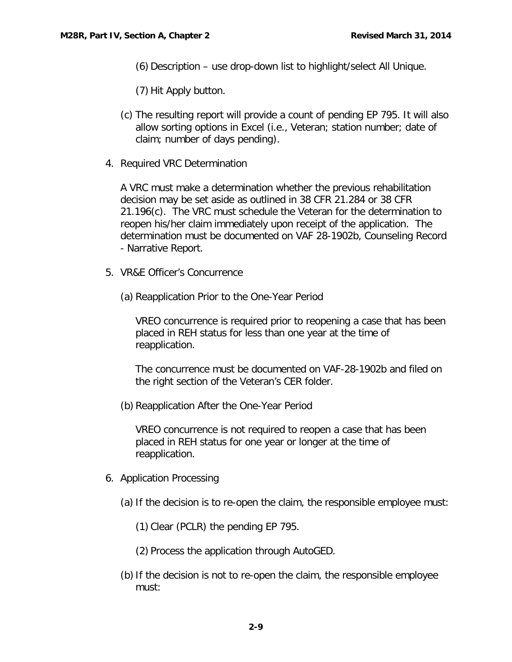- (6) Description use drop-down list to highlight/select All Unique.
- (7) Hit Apply button.
- (c) The resulting report will provide a count of pending EP 795. It will also allow sorting options in Excel (i.e., Veteran; station number; date of claim; number of days pending).
- <span id="page-11-0"></span>4. Required VRC Determination

A VRC must make a determination whether the previous rehabilitation decision may be set aside as outlined in 38 CFR 21.284 or 38 CFR 21.196(c). The VRC must schedule the Veteran for the determination to reopen his/her claim immediately upon receipt of the application. The determination must be documented on VAF 28-1902b, Counseling Record - Narrative Report.

- <span id="page-11-1"></span>5. VR&E Officer's Concurrence
	- (a) Reapplication Prior to the One-Year Period

VREO concurrence is required prior to reopening a case that has been placed in REH status for less than one year at the time of reapplication.

The concurrence must be documented on VAF-28-1902b and filed on the right section of the Veteran's CER folder.

(b) Reapplication After the One-Year Period

VREO concurrence is not required to reopen a case that has been placed in REH status for one year or longer at the time of reapplication.

- <span id="page-11-2"></span>6. Application Processing
	- (a) If the decision is to re-open the claim, the responsible employee must:
		- (1) Clear (PCLR) the pending EP 795.
		- (2) Process the application through AutoGED.
	- (b)If the decision is not to re-open the claim, the responsible employee must: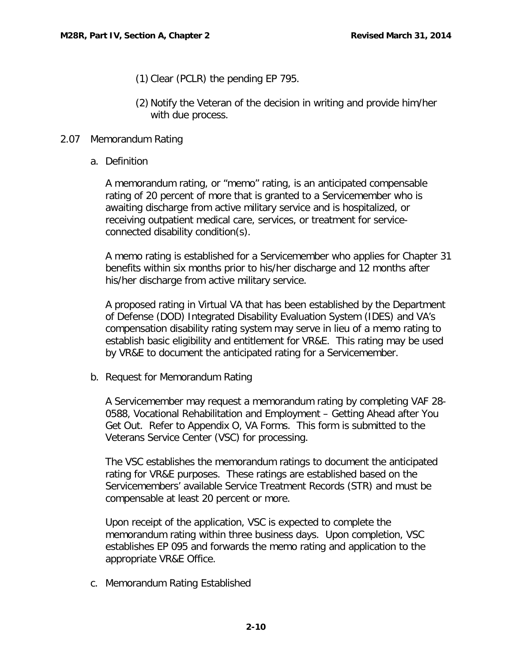- (1) Clear (PCLR) the pending EP 795.
- (2) Notify the Veteran of the decision in writing and provide him/her with due process.

## <span id="page-12-1"></span><span id="page-12-0"></span>2.07 Memorandum Rating

a. Definition

A memorandum rating, or "memo" rating, is an anticipated compensable rating of 20 percent of more that is granted to a Servicemember who is awaiting discharge from active military service and is hospitalized, or receiving outpatient medical care, services, or treatment for serviceconnected disability condition(s).

A memo rating is established for a Servicemember who applies for Chapter 31 benefits within six months prior to his/her discharge and 12 months after his/her discharge from active military service.

A proposed rating in Virtual VA that has been established by the Department of Defense (DOD) Integrated Disability Evaluation System (IDES) and VA's compensation disability rating system may serve in lieu of a memo rating to establish basic eligibility and entitlement for VR&E. This rating may be used by VR&E to document the anticipated rating for a Servicemember.

<span id="page-12-2"></span>b. Request for Memorandum Rating

A Servicemember may request a memorandum rating by completing VAF 28- 0588, Vocational Rehabilitation and Employment – Getting Ahead after You Get Out. Refer to Appendix O, VA Forms. This form is submitted to the Veterans Service Center (VSC) for processing.

The VSC establishes the memorandum ratings to document the anticipated rating for VR&E purposes. These ratings are established based on the Servicemembers' available Service Treatment Records (STR) and must be compensable at least 20 percent or more.

Upon receipt of the application, VSC is expected to complete the memorandum rating within three business days. Upon completion, VSC establishes EP 095 and forwards the memo rating and application to the appropriate VR&E Office.

<span id="page-12-3"></span>c. Memorandum Rating Established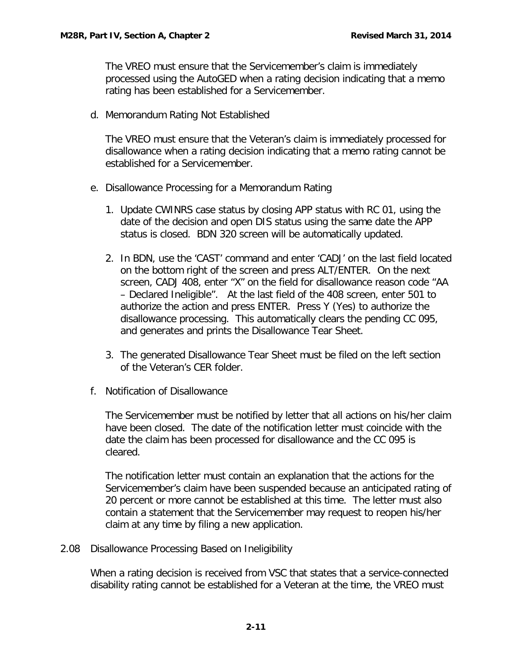The VREO must ensure that the Servicemember's claim is immediately processed using the AutoGED when a rating decision indicating that a memo rating has been established for a Servicemember.

<span id="page-13-0"></span>d. Memorandum Rating Not Established

The VREO must ensure that the Veteran's claim is immediately processed for disallowance when a rating decision indicating that a memo rating cannot be established for a Servicemember.

- <span id="page-13-1"></span>e. Disallowance Processing for a Memorandum Rating
	- 1. Update CWINRS case status by closing APP status with RC 01, using the date of the decision and open DIS status using the same date the APP status is closed. BDN 320 screen will be automatically updated.
	- 2. In BDN, use the 'CAST' command and enter 'CADJ' on the last field located on the bottom right of the screen and press ALT/ENTER. On the next screen, CADJ 408, enter "X" on the field for disallowance reason code "AA – Declared Ineligible". At the last field of the 408 screen, enter 501 to authorize the action and press ENTER. Press Y (Yes) to authorize the disallowance processing. This automatically clears the pending CC 095, and generates and prints the Disallowance Tear Sheet.
	- 3. The generated Disallowance Tear Sheet must be filed on the left section of the Veteran's CER folder.
- <span id="page-13-2"></span>f. Notification of Disallowance

The Servicemember must be notified by letter that all actions on his/her claim have been closed. The date of the notification letter must coincide with the date the claim has been processed for disallowance and the CC 095 is cleared.

The notification letter must contain an explanation that the actions for the Servicemember's claim have been suspended because an anticipated rating of 20 percent or more cannot be established at this time. The letter must also contain a statement that the Servicemember may request to reopen his/her claim at any time by filing a new application.

<span id="page-13-3"></span>2.08 Disallowance Processing Based on Ineligibility

When a rating decision is received from VSC that states that a service-connected disability rating cannot be established for a Veteran at the time, the VREO must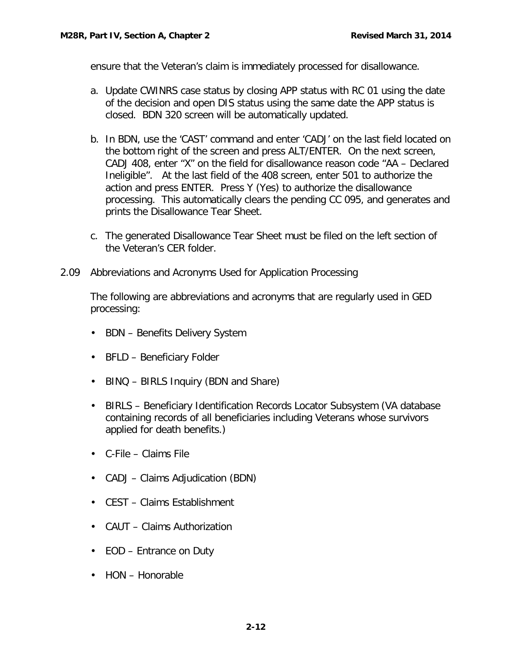ensure that the Veteran's claim is immediately processed for disallowance.

- a. Update CWINRS case status by closing APP status with RC 01 using the date of the decision and open DIS status using the same date the APP status is closed. BDN 320 screen will be automatically updated.
- b. In BDN, use the 'CAST' command and enter 'CADJ' on the last field located on the bottom right of the screen and press ALT/ENTER. On the next screen, CADJ 408, enter "X" on the field for disallowance reason code "AA – Declared Ineligible". At the last field of the 408 screen, enter 501 to authorize the action and press ENTER. Press Y (Yes) to authorize the disallowance processing. This automatically clears the pending CC 095, and generates and prints the Disallowance Tear Sheet.
- c. The generated Disallowance Tear Sheet must be filed on the left section of the Veteran's CER folder.
- <span id="page-14-0"></span>2.09 Abbreviations and Acronyms Used for Application Processing

The following are abbreviations and acronyms that are regularly used in GED processing:

- BDN Benefits Delivery System
- BFLD Beneficiary Folder
- BINQ BIRLS Inquiry (BDN and Share)
- BIRLS Beneficiary Identification Records Locator Subsystem (VA database containing records of all beneficiaries including Veterans whose survivors applied for death benefits.)
- C-File Claims File
- CADJ Claims Adjudication (BDN)
- CEST Claims Establishment
- CAUT Claims Authorization
- EOD Entrance on Duty
- HON Honorable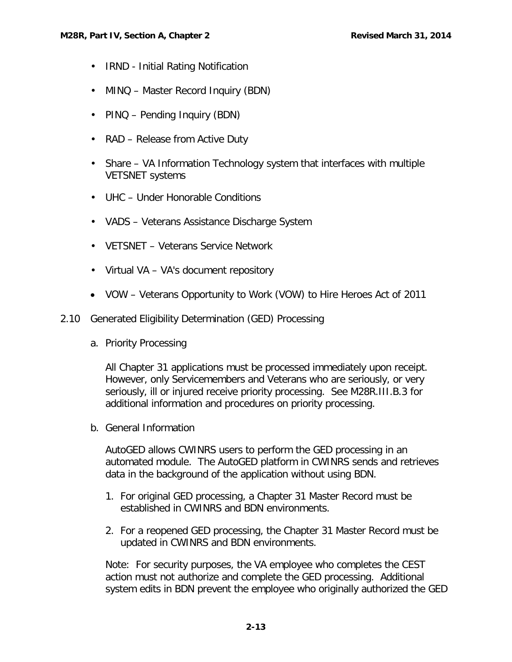- IRND Initial Rating Notification
- MINQ Master Record Inquiry (BDN)
- PINQ Pending Inquiry (BDN)
- RAD Release from Active Duty
- Share VA Information Technology system that interfaces with multiple VETSNET systems
- UHC Under Honorable Conditions
- VADS Veterans Assistance Discharge System
- VETSNET Veterans Service Network
- Virtual VA VA's document repository
- VOW Veterans Opportunity to Work (VOW) to Hire Heroes Act of 2011
- <span id="page-15-1"></span><span id="page-15-0"></span>2.10 Generated Eligibility Determination (GED) Processing
	- a. Priority Processing

All Chapter 31 applications must be processed immediately upon receipt. However, only Servicemembers and Veterans who are seriously, or very seriously, ill or injured receive priority processing. See M28R.III.B.3 for additional information and procedures on priority processing.

<span id="page-15-2"></span>b. General Information

AutoGED allows CWINRS users to perform the GED processing in an automated module. The AutoGED platform in CWINRS sends and retrieves data in the background of the application without using BDN.

- 1. For original GED processing, a Chapter 31 Master Record must be established in CWINRS and BDN environments.
- 2. For a reopened GED processing, the Chapter 31 Master Record must be updated in CWINRS and BDN environments.

Note: For security purposes, the VA employee who completes the CEST action must not authorize and complete the GED processing. Additional system edits in BDN prevent the employee who originally authorized the GED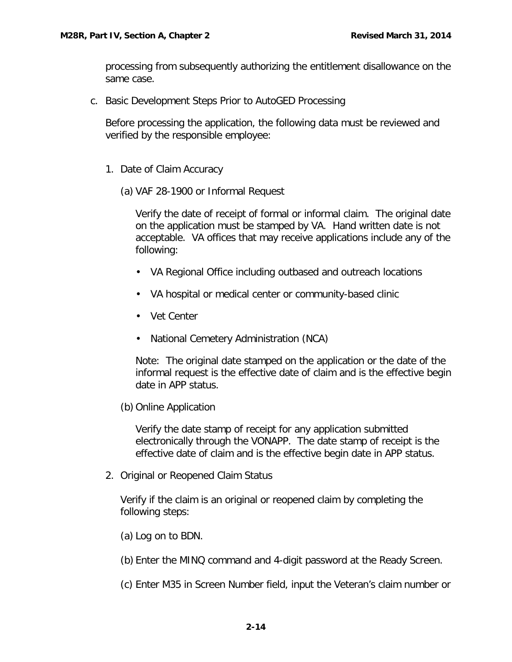processing from subsequently authorizing the entitlement disallowance on the same case.

<span id="page-16-0"></span>c. Basic Development Steps Prior to AutoGED Processing

Before processing the application, the following data must be reviewed and verified by the responsible employee:

- <span id="page-16-1"></span>1. Date of Claim Accuracy
	- (a) VAF 28-1900 or Informal Request

Verify the date of receipt of formal or informal claim. The original date on the application must be stamped by VA. Hand written date is not acceptable. VA offices that may receive applications include any of the following:

- VA Regional Office including outbased and outreach locations
- VA hospital or medical center or community-based clinic
- Vet Center
- National Cemetery Administration (NCA)

Note: The original date stamped on the application or the date of the informal request is the effective date of claim and is the effective begin date in APP status.

(b) Online Application

Verify the date stamp of receipt for any application submitted electronically through the VONAPP. The date stamp of receipt is the effective date of claim and is the effective begin date in APP status.

<span id="page-16-2"></span>2. Original or Reopened Claim Status

Verify if the claim is an original or reopened claim by completing the following steps:

- (a) Log on to BDN.
- (b) Enter the MINQ command and 4-digit password at the Ready Screen.
- (c) Enter M35 in Screen Number field, input the Veteran's claim number or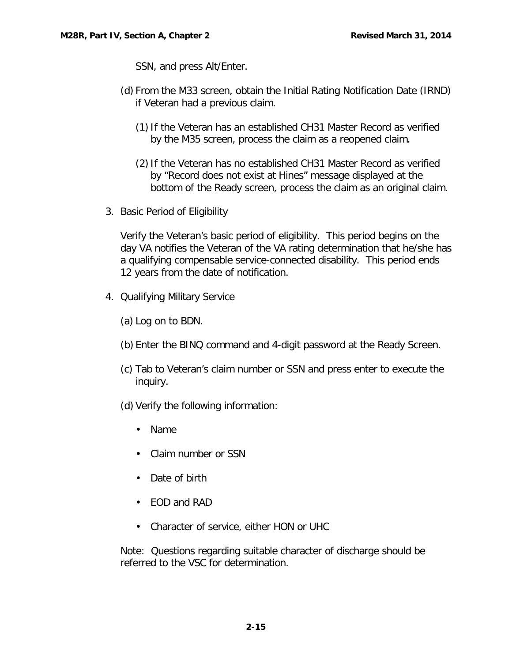SSN, and press Alt/Enter.

- (d) From the M33 screen, obtain the Initial Rating Notification Date (IRND) if Veteran had a previous claim.
	- (1)If the Veteran has an established CH31 Master Record as verified by the M35 screen, process the claim as a reopened claim.
	- (2)If the Veteran has no established CH31 Master Record as verified by "Record does not exist at Hines" message displayed at the bottom of the Ready screen, process the claim as an original claim.
- <span id="page-17-0"></span>3. Basic Period of Eligibility

Verify the Veteran's basic period of eligibility. This period begins on the day VA notifies the Veteran of the VA rating determination that he/she has a qualifying compensable service-connected disability. This period ends 12 years from the date of notification.

- <span id="page-17-1"></span>4. Qualifying Military Service
	- (a) Log on to BDN.
	- (b) Enter the BINQ command and 4-digit password at the Ready Screen.
	- (c) Tab to Veteran's claim number or SSN and press enter to execute the inquiry.
	- (d) Verify the following information:
		- Name
		- Claim number or SSN
		- Date of birth
		- EOD and RAD
		- Character of service, either HON or UHC

Note: Questions regarding suitable character of discharge should be referred to the VSC for determination.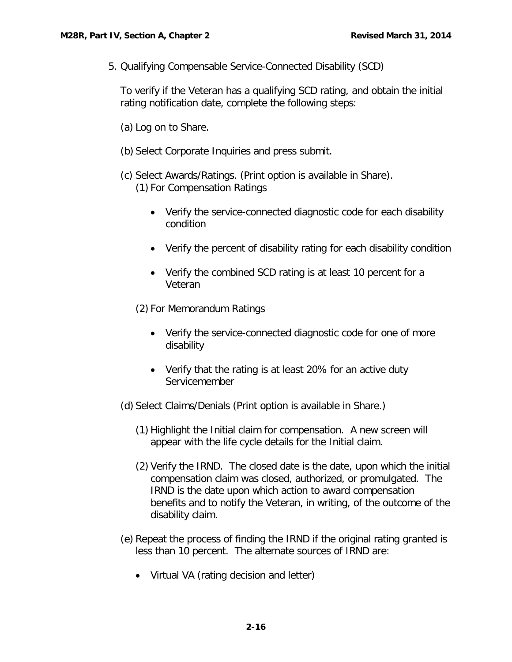<span id="page-18-0"></span>5. Qualifying Compensable Service-Connected Disability (SCD)

To verify if the Veteran has a qualifying SCD rating, and obtain the initial rating notification date, complete the following steps:

- (a) Log on to Share.
- (b) Select Corporate Inquiries and press submit.
- (c) Select Awards/Ratings. (Print option is available in Share). (1) For Compensation Ratings
	- Verify the service-connected diagnostic code for each disability condition
	- Verify the percent of disability rating for each disability condition
	- Verify the combined SCD rating is at least 10 percent for a Veteran
	- (2) For Memorandum Ratings
		- Verify the service-connected diagnostic code for one of more disability
		- Verify that the rating is at least 20% for an active duty Servicemember
- (d) Select Claims/Denials (Print option is available in Share.)
	- (1) Highlight the Initial claim for compensation. A new screen will appear with the life cycle details for the Initial claim.
	- (2) Verify the IRND. The closed date is the date, upon which the initial compensation claim was closed, authorized, or promulgated. The IRND is the date upon which action to award compensation benefits and to notify the Veteran, in writing, of the outcome of the disability claim.
- (e) Repeat the process of finding the IRND if the original rating granted is less than 10 percent. The alternate sources of IRND are:
	- Virtual VA (rating decision and letter)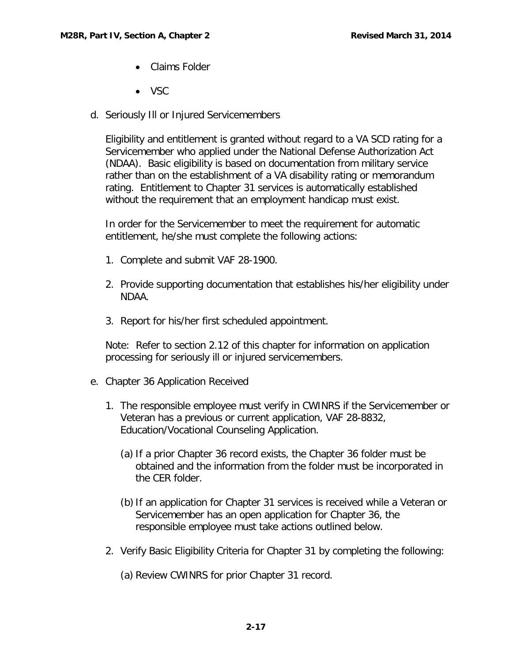- Claims Folder
- VSC
- <span id="page-19-0"></span>d. Seriously Ill or Injured Servicemembers

Eligibility and entitlement is granted without regard to a VA SCD rating for a Servicemember who applied under the National Defense Authorization Act (NDAA). Basic eligibility is based on documentation from military service rather than on the establishment of a VA disability rating or memorandum rating. Entitlement to Chapter 31 services is automatically established without the requirement that an employment handicap must exist.

In order for the Servicemember to meet the requirement for automatic entitlement, he/she must complete the following actions:

- 1. Complete and submit VAF 28-1900.
- 2. Provide supporting documentation that establishes his/her eligibility under NDAA.
- 3. Report for his/her first scheduled appointment.

Note: Refer to section 2.12 of this chapter for information on application processing for seriously ill or injured servicemembers.

- <span id="page-19-1"></span>e. Chapter 36 Application Received
	- 1. The responsible employee must verify in CWINRS if the Servicemember or Veteran has a previous or current application, VAF 28-8832, Education/Vocational Counseling Application.
		- (a) If a prior Chapter 36 record exists, the Chapter 36 folder must be obtained and the information from the folder must be incorporated in the CER folder.
		- (b)If an application for Chapter 31 services is received while a Veteran or Servicemember has an open application for Chapter 36, the responsible employee must take actions outlined below.
	- 2. Verify Basic Eligibility Criteria for Chapter 31 by completing the following:

(a) Review CWINRS for prior Chapter 31 record.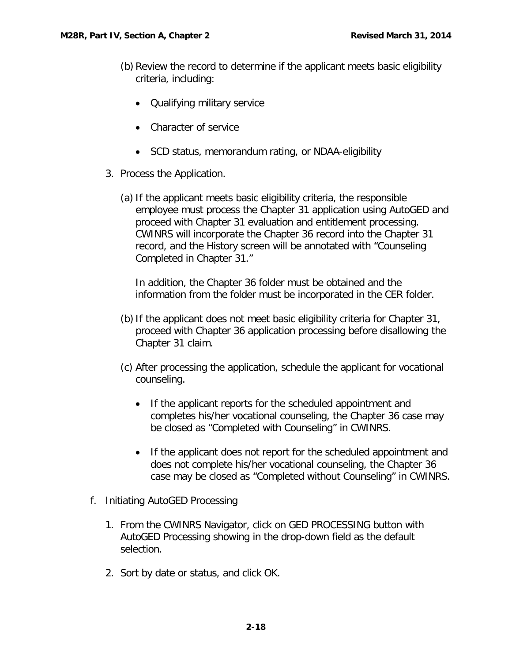- (b) Review the record to determine if the applicant meets basic eligibility criteria, including:
	- Qualifying military service
	- Character of service
	- SCD status, memorandum rating, or NDAA-eligibility
- 3. Process the Application.
	- (a) If the applicant meets basic eligibility criteria, the responsible employee must process the Chapter 31 application using AutoGED and proceed with Chapter 31 evaluation and entitlement processing. CWINRS will incorporate the Chapter 36 record into the Chapter 31 record, and the History screen will be annotated with "Counseling Completed in Chapter 31."

In addition, the Chapter 36 folder must be obtained and the information from the folder must be incorporated in the CER folder.

- (b) If the applicant does not meet basic eligibility criteria for Chapter 31, proceed with Chapter 36 application processing before disallowing the Chapter 31 claim.
- (c) After processing the application, schedule the applicant for vocational counseling.
	- If the applicant reports for the scheduled appointment and completes his/her vocational counseling, the Chapter 36 case may be closed as "Completed with Counseling" in CWINRS.
	- If the applicant does not report for the scheduled appointment and does not complete his/her vocational counseling, the Chapter 36 case may be closed as "Completed without Counseling" in CWINRS.
- <span id="page-20-0"></span>f. Initiating AutoGED Processing
	- 1. From the CWINRS Navigator, click on GED PROCESSING button with AutoGED Processing showing in the drop-down field as the default selection.
	- 2. Sort by date or status, and click OK.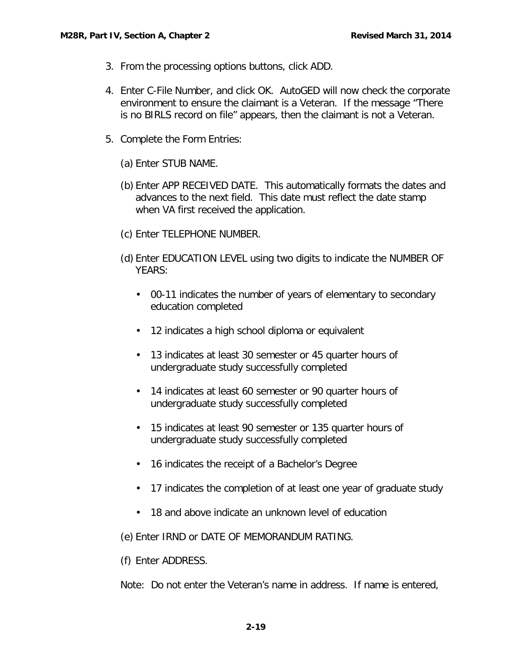- 3. From the processing options buttons, click ADD.
- 4. Enter C-File Number, and click OK. AutoGED will now check the corporate environment to ensure the claimant is a Veteran. If the message "There is no BIRLS record on file" appears, then the claimant is not a Veteran.
- 5. Complete the Form Entries:
	- (a) Enter STUB NAME.
	- (b) Enter APP RECEIVED DATE. This automatically formats the dates and advances to the next field. This date must reflect the date stamp when VA first received the application.
	- (c) Enter TELEPHONE NUMBER.
	- (d) Enter EDUCATION LEVEL using two digits to indicate the NUMBER OF YEARS:
		- 00-11 indicates the number of years of elementary to secondary education completed
		- 12 indicates a high school diploma or equivalent
		- 13 indicates at least 30 semester or 45 quarter hours of undergraduate study successfully completed
		- 14 indicates at least 60 semester or 90 quarter hours of undergraduate study successfully completed
		- 15 indicates at least 90 semester or 135 quarter hours of undergraduate study successfully completed
		- 16 indicates the receipt of a Bachelor's Degree
		- 17 indicates the completion of at least one year of graduate study
		- 18 and above indicate an unknown level of education

(e) Enter IRND or DATE OF MEMORANDUM RATING.

(f) Enter ADDRESS.

Note: Do not enter the Veteran's name in address. If name is entered,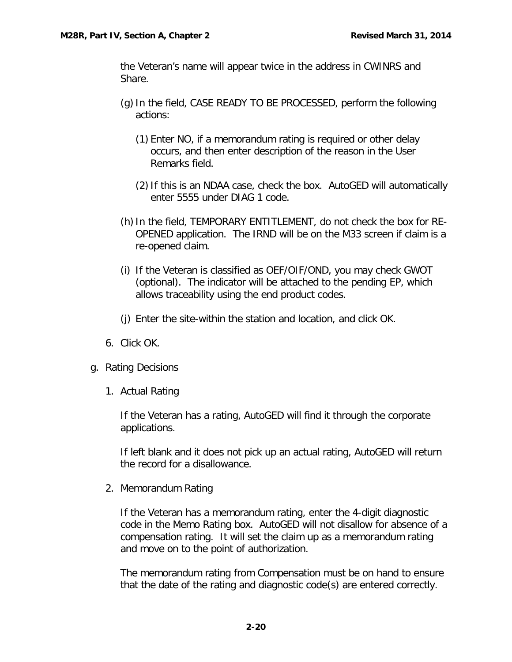the Veteran's name will appear twice in the address in CWINRS and Share.

- (g)In the field, CASE READY TO BE PROCESSED, perform the following actions:
	- (1) Enter NO, if a memorandum rating is required or other delay occurs, and then enter description of the reason in the User Remarks field.
	- (2)If this is an NDAA case, check the box. AutoGED will automatically enter 5555 under DIAG 1 code.
- (h) In the field, TEMPORARY ENTITLEMENT, do not check the box for RE-OPENED application. The IRND will be on the M33 screen if claim is a re-opened claim.
- (i) If the Veteran is classified as OEF/OIF/OND, you may check GWOT (optional). The indicator will be attached to the pending EP, which allows traceability using the end product codes.
- (j) Enter the site-within the station and location, and click OK.
- 6. Click OK.
- <span id="page-22-1"></span><span id="page-22-0"></span>g. Rating Decisions
	- 1. Actual Rating

If the Veteran has a rating, AutoGED will find it through the corporate applications.

If left blank and it does not pick up an actual rating, AutoGED will return the record for a disallowance.

<span id="page-22-2"></span>2. Memorandum Rating

If the Veteran has a memorandum rating, enter the 4-digit diagnostic code in the Memo Rating box. AutoGED will not disallow for absence of a compensation rating. It will set the claim up as a memorandum rating and move on to the point of authorization.

The memorandum rating from Compensation must be on hand to ensure that the date of the rating and diagnostic code(s) are entered correctly.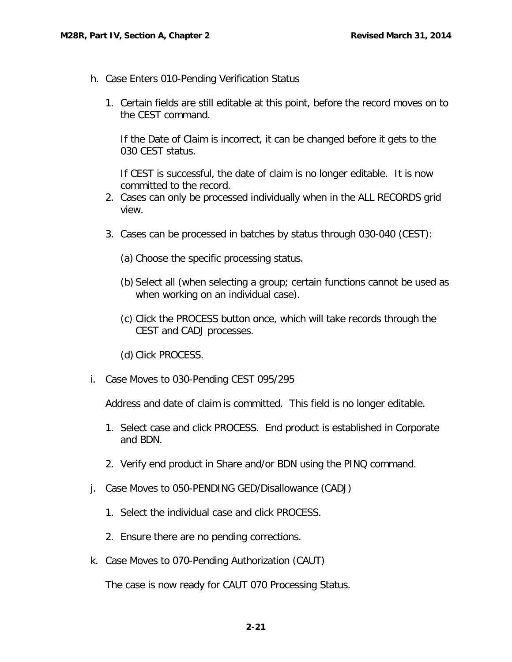- <span id="page-23-0"></span>h. Case Enters 010-Pending Verification Status
	- 1. Certain fields are still editable at this point, before the record moves on to the CEST command.

If the Date of Claim is incorrect, it can be changed before it gets to the 030 CEST status.

If CEST is successful, the date of claim is no longer editable. It is now committed to the record.

- 2. Cases can only be processed individually when in the ALL RECORDS grid view.
- 3. Cases can be processed in batches by status through 030-040 (CEST):
	- (a) Choose the specific processing status.
	- (b) Select all (when selecting a group; certain functions cannot be used as when working on an individual case).
	- (c) Click the PROCESS button once, which will take records through the CEST and CADJ processes.
	- (d) Click PROCESS.
- <span id="page-23-1"></span>i. Case Moves to 030-Pending CEST 095/295

Address and date of claim is committed. This field is no longer editable.

- 1. Select case and click PROCESS. End product is established in Corporate and BDN.
- 2. Verify end product in Share and/or BDN using the PINQ command.
- <span id="page-23-2"></span>j. Case Moves to 050-PENDING GED/Disallowance (CADJ)
	- 1. Select the individual case and click PROCESS.
	- 2. Ensure there are no pending corrections.
- <span id="page-23-3"></span>k. Case Moves to 070-Pending Authorization (CAUT)

The case is now ready for CAUT 070 Processing Status.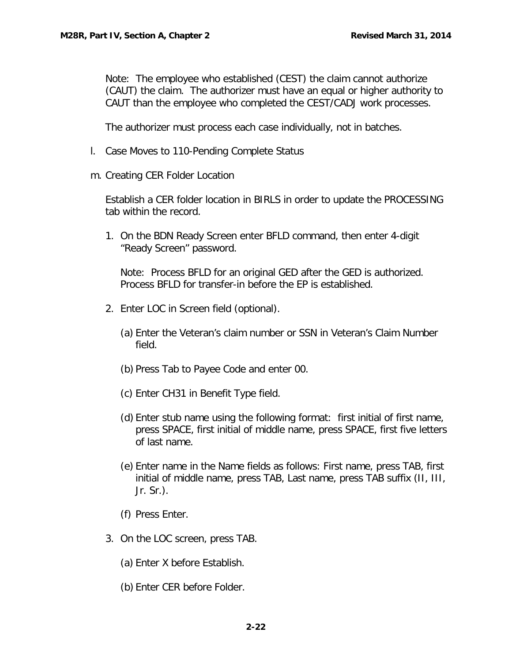Note: The employee who established (CEST) the claim cannot authorize (CAUT) the claim. The authorizer must have an equal or higher authority to CAUT than the employee who completed the CEST/CADJ work processes.

The authorizer must process each case individually, not in batches.

- <span id="page-24-0"></span>l. Case Moves to 110-Pending Complete Status
- <span id="page-24-1"></span>m. Creating CER Folder Location

Establish a CER folder location in BIRLS in order to update the PROCESSING tab within the record.

1. On the BDN Ready Screen enter BFLD command, then enter 4-digit "Ready Screen" password.

Note: Process BFLD for an original GED after the GED is authorized. Process BFLD for transfer-in before the EP is established.

- 2. Enter LOC in Screen field (optional).
	- (a) Enter the Veteran's claim number or SSN in Veteran's Claim Number field.
	- (b) Press Tab to Payee Code and enter 00.
	- (c) Enter CH31 in Benefit Type field.
	- (d) Enter stub name using the following format: first initial of first name, press SPACE, first initial of middle name, press SPACE, first five letters of last name.
	- (e) Enter name in the Name fields as follows: First name, press TAB, first initial of middle name, press TAB, Last name, press TAB suffix (II, III, Jr. Sr.).
	- (f) Press Enter.
- 3. On the LOC screen, press TAB.
	- (a) Enter X before Establish.
	- (b) Enter CER before Folder.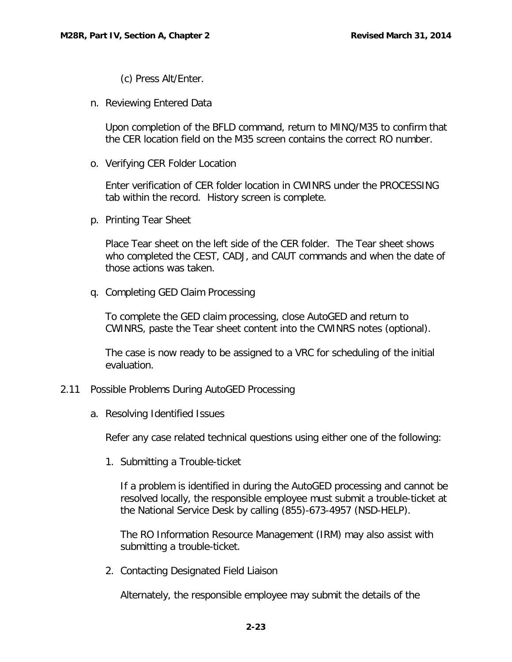(c) Press Alt/Enter.

<span id="page-25-0"></span>n. Reviewing Entered Data

Upon completion of the BFLD command, return to MINQ/M35 to confirm that the CER location field on the M35 screen contains the correct RO number.

<span id="page-25-1"></span>o. Verifying CER Folder Location

Enter verification of CER folder location in CWINRS under the PROCESSING tab within the record. History screen is complete.

<span id="page-25-2"></span>p. Printing Tear Sheet

Place Tear sheet on the left side of the CER folder. The Tear sheet shows who completed the CEST, CADJ, and CAUT commands and when the date of those actions was taken.

<span id="page-25-3"></span>q. Completing GED Claim Processing

To complete the GED claim processing, close AutoGED and return to CWINRS, paste the Tear sheet content into the CWINRS notes (optional).

The case is now ready to be assigned to a VRC for scheduling of the initial evaluation.

## <span id="page-25-5"></span><span id="page-25-4"></span>2.11 Possible Problems During AutoGED Processing

a. Resolving Identified Issues

Refer any case related technical questions using either one of the following:

<span id="page-25-6"></span>1. Submitting a Trouble-ticket

If a problem is identified in during the AutoGED processing and cannot be resolved locally, the responsible employee must submit a trouble-ticket at the National Service Desk by calling (855)-673-4957 (NSD-HELP).

The RO Information Resource Management (IRM) may also assist with submitting a trouble-ticket.

<span id="page-25-7"></span>2. Contacting Designated Field Liaison

Alternately, the responsible employee may submit the details of the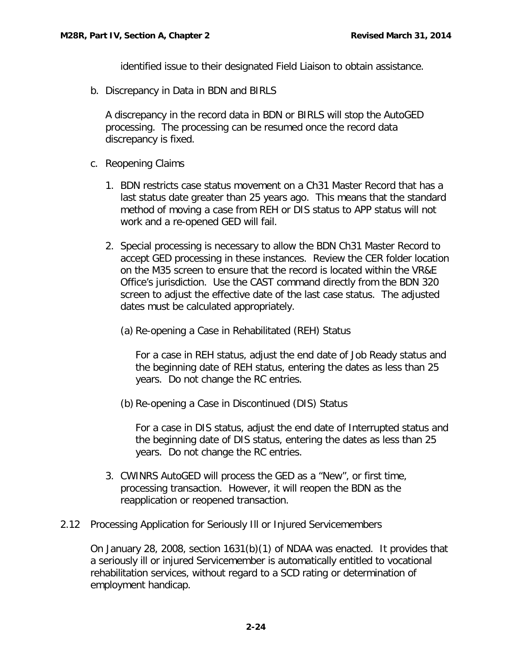identified issue to their designated Field Liaison to obtain assistance.

<span id="page-26-0"></span>b. Discrepancy in Data in BDN and BIRLS

A discrepancy in the record data in BDN or BIRLS will stop the AutoGED processing. The processing can be resumed once the record data discrepancy is fixed.

- <span id="page-26-1"></span>c. Reopening Claims
	- 1. BDN restricts case status movement on a Ch31 Master Record that has a last status date greater than 25 years ago. This means that the standard method of moving a case from REH or DIS status to APP status will not work and a re-opened GED will fail.
	- 2. Special processing is necessary to allow the BDN Ch31 Master Record to accept GED processing in these instances. Review the CER folder location on the M35 screen to ensure that the record is located within the VR&E Office's jurisdiction. Use the CAST command directly from the BDN 320 screen to adjust the effective date of the last case status. The adjusted dates must be calculated appropriately.
		- (a) Re-opening a Case in Rehabilitated (REH) Status

For a case in REH status, adjust the end date of Job Ready status and the beginning date of REH status, entering the dates as less than 25 years. Do not change the RC entries.

(b) Re-opening a Case in Discontinued (DIS) Status

For a case in DIS status, adjust the end date of Interrupted status and the beginning date of DIS status, entering the dates as less than 25 years. Do not change the RC entries.

- 3. CWINRS AutoGED will process the GED as a "New", or first time, processing transaction. However, it will reopen the BDN as the reapplication or reopened transaction.
- <span id="page-26-2"></span>2.12 Processing Application for Seriously Ill or Injured Servicemembers

On January 28, 2008, section 1631(b)(1) of NDAA was enacted. It provides that a seriously ill or injured Servicemember is automatically entitled to vocational rehabilitation services, without regard to a SCD rating or determination of employment handicap.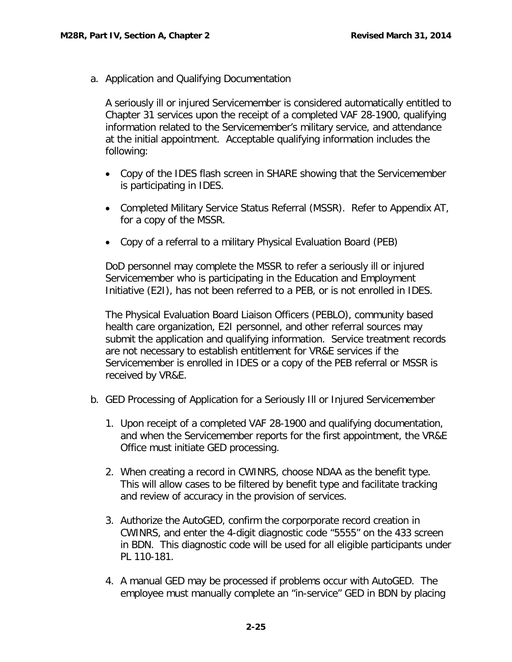<span id="page-27-0"></span>a. Application and Qualifying Documentation

A seriously ill or injured Servicemember is considered automatically entitled to Chapter 31 services upon the receipt of a completed VAF 28-1900, qualifying information related to the Servicemember's military service, and attendance at the initial appointment. Acceptable qualifying information includes the following:

- Copy of the IDES flash screen in SHARE showing that the Servicemember is participating in IDES.
- Completed Military Service Status Referral (MSSR). Refer to Appendix AT, for a copy of the MSSR.
- Copy of a referral to a military Physical Evaluation Board (PEB)

DoD personnel may complete the MSSR to refer a seriously ill or injured Servicemember who is participating in the Education and Employment Initiative (E2I), has not been referred to a PEB, or is not enrolled in IDES.

The Physical Evaluation Board Liaison Officers (PEBLO), community based health care organization, E2I personnel, and other referral sources may submit the application and qualifying information. Service treatment records are not necessary to establish entitlement for VR&E services if the Servicemember is enrolled in IDES or a copy of the PEB referral or MSSR is received by VR&E.

- <span id="page-27-1"></span>b. GED Processing of Application for a Seriously Ill or Injured Servicemember
	- 1. Upon receipt of a completed VAF 28-1900 and qualifying documentation, and when the Servicemember reports for the first appointment, the VR&E Office must initiate GED processing.
	- 2. When creating a record in CWINRS, choose NDAA as the benefit type. This will allow cases to be filtered by benefit type and facilitate tracking and review of accuracy in the provision of services.
	- 3. Authorize the AutoGED, confirm the corporporate record creation in CWINRS, and enter the 4-digit diagnostic code "5555" on the 433 screen in BDN. This diagnostic code will be used for all eligible participants under PL 110-181.
	- 4. A manual GED may be processed if problems occur with AutoGED. The employee must manually complete an "in-service" GED in BDN by placing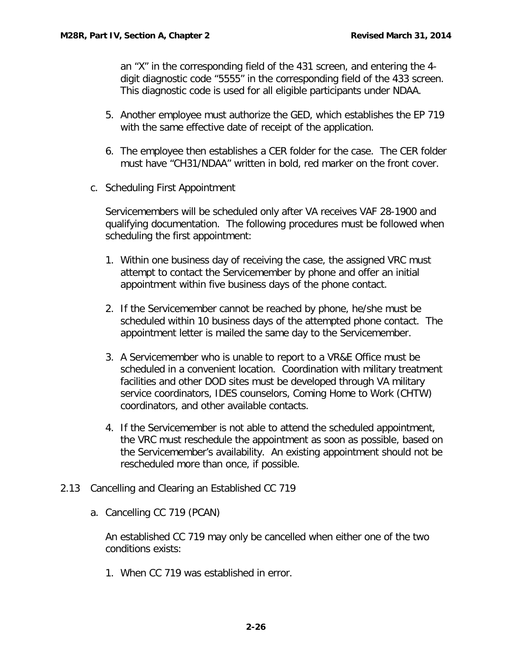an "X" in the corresponding field of the 431 screen, and entering the 4 digit diagnostic code "5555" in the corresponding field of the 433 screen. This diagnostic code is used for all eligible participants under NDAA.

- 5. Another employee must authorize the GED, which establishes the EP 719 with the same effective date of receipt of the application.
- 6. The employee then establishes a CER folder for the case. The CER folder must have "CH31/NDAA" written in bold, red marker on the front cover.
- <span id="page-28-0"></span>c. Scheduling First Appointment

Servicemembers will be scheduled only after VA receives VAF 28-1900 and qualifying documentation. The following procedures must be followed when scheduling the first appointment:

- 1. Within one business day of receiving the case, the assigned VRC must attempt to contact the Servicemember by phone and offer an initial appointment within five business days of the phone contact.
- 2. If the Servicemember cannot be reached by phone, he/she must be scheduled within 10 business days of the attempted phone contact. The appointment letter is mailed the same day to the Servicemember.
- 3. A Servicemember who is unable to report to a VR&E Office must be scheduled in a convenient location. Coordination with military treatment facilities and other DOD sites must be developed through VA military service coordinators, IDES counselors, Coming Home to Work (CHTW) coordinators, and other available contacts.
- 4. If the Servicemember is not able to attend the scheduled appointment, the VRC must reschedule the appointment as soon as possible, based on the Servicemember's availability. An existing appointment should not be rescheduled more than once, if possible.
- <span id="page-28-2"></span><span id="page-28-1"></span>2.13 Cancelling and Clearing an Established CC 719
	- a. Cancelling CC 719 (PCAN)

An established CC 719 may only be cancelled when either one of the two conditions exists:

1. When CC 719 was established in error.